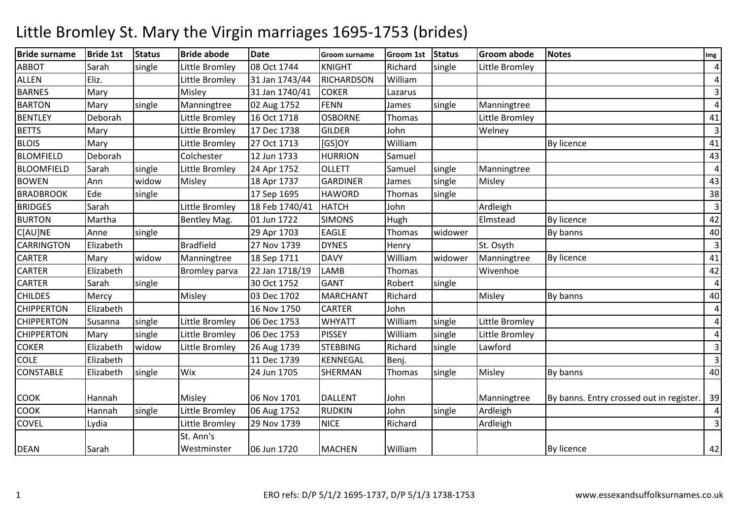| <b>Bride surname</b> | <b>Bride 1st</b> | <b>Status</b> | <b>Bride abode</b>       | <b>Date</b>    | <b>Groom surname</b> | <b>Groom 1st</b> | <b>Status</b> | <b>Groom abode</b> | <b>Notes</b>                             | Img                     |
|----------------------|------------------|---------------|--------------------------|----------------|----------------------|------------------|---------------|--------------------|------------------------------------------|-------------------------|
| <b>ABBOT</b>         | Sarah            | single        | Little Bromley           | 08 Oct 1744    | <b>KNIGHT</b>        | Richard          | single        | Little Bromley     |                                          | $\overline{\mathbf{4}}$ |
| <b>ALLEN</b>         | Eliz.            |               | Little Bromley           | 31 Jan 1743/44 | RICHARDSON           | William          |               |                    |                                          | $\overline{4}$          |
| <b>BARNES</b>        | Mary             |               | Misley                   | 31 Jan 1740/41 | <b>COKER</b>         | Lazarus          |               |                    |                                          | 3                       |
| <b>BARTON</b>        | Mary             | single        | Manningtree              | 02 Aug 1752    | <b>FENN</b>          | James            | single        | Manningtree        |                                          | $\overline{\mathbf{4}}$ |
| <b>BENTLEY</b>       | Deborah          |               | Little Bromley           | 16 Oct 1718    | <b>OSBORNE</b>       | Thomas           |               | Little Bromley     |                                          | 41                      |
| <b>BETTS</b>         | Mary             |               | Little Bromley           | 17 Dec 1738    | <b>GILDER</b>        | John             |               | Welney             |                                          | 3                       |
| <b>BLOIS</b>         | Mary             |               | Little Bromley           | 27 Oct 1713    | $[GS]$ OY            | William          |               |                    | <b>By licence</b>                        | 41                      |
| <b>BLOMFIELD</b>     | Deborah          |               | Colchester               | 12 Jun 1733    | <b>HURRION</b>       | Samuel           |               |                    |                                          | 43                      |
| <b>BLOOMFIELD</b>    | Sarah            | single        | Little Bromley           | 24 Apr 1752    | <b>OLLETT</b>        | Samuel           | single        | Manningtree        |                                          | 4                       |
| <b>BOWEN</b>         | Ann              | widow         | Misley                   | 18 Apr 1737    | <b>GARDINER</b>      | James            | single        | Misley             |                                          | 43                      |
| <b>BRADBROOK</b>     | Ede              | single        |                          | 17 Sep 1695    | <b>HAWORD</b>        | Thomas           | single        |                    |                                          | 38                      |
| <b>BRIDGES</b>       | Sarah            |               | Little Bromley           | 18 Feb 1740/41 | <b>HATCH</b>         | John             |               | Ardleigh           |                                          | $\overline{3}$          |
| <b>BURTON</b>        | Martha           |               | Bentley Mag.             | 01 Jun 1722    | <b>SIMONS</b>        | Hugh             |               | Elmstead           | <b>By licence</b>                        | 42                      |
| C[AU]NE              | Anne             | single        |                          | 29 Apr 1703    | <b>EAGLE</b>         | Thomas           | widower       |                    | By banns                                 | 40                      |
| <b>CARRINGTON</b>    | Elizabeth        |               | <b>Bradfield</b>         | 27 Nov 1739    | <b>DYNES</b>         | Henry            |               | St. Osyth          |                                          | 3                       |
| CARTER               | Mary             | widow         | Manningtree              | 18 Sep 1711    | <b>DAVY</b>          | William          | widower       | Manningtree        | <b>By licence</b>                        | 41                      |
| <b>CARTER</b>        | Elizabeth        |               | <b>Bromley parva</b>     | 22 Jan 1718/19 | <b>LAMB</b>          | Thomas           |               | Wivenhoe           |                                          | 42                      |
| <b>CARTER</b>        | Sarah            | single        |                          | 30 Oct 1752    | <b>GANT</b>          | Robert           | single        |                    |                                          | $\overline{4}$          |
| <b>CHILDES</b>       | Mercy            |               | Misley                   | 03 Dec 1702    | <b>MARCHANT</b>      | Richard          |               | Misley             | By banns                                 | 40                      |
| <b>CHIPPERTON</b>    | Elizabeth        |               |                          | 16 Nov 1750    | <b>CARTER</b>        | John             |               |                    |                                          | 4                       |
| <b>CHIPPERTON</b>    | Susanna          | single        | Little Bromley           | 06 Dec 1753    | <b>WHYATT</b>        | William          | single        | Little Bromley     |                                          | 4                       |
| <b>CHIPPERTON</b>    | Mary             | single        | Little Bromley           | 06 Dec 1753    | <b>PISSEY</b>        | William          | single        | Little Bromley     |                                          | $\overline{\mathbf{4}}$ |
| <b>COKER</b>         | Elizabeth        | widow         | Little Bromley           | 26 Aug 1739    | <b>STEBBING</b>      | Richard          | single        | Lawford            |                                          | 3                       |
| <b>COLE</b>          | Elizabeth        |               |                          | 11 Dec 1739    | <b>KENNEGAL</b>      | Benj.            |               |                    |                                          | $\overline{\mathbf{3}}$ |
| CONSTABLE            | Elizabeth        | single        | Wix                      | 24 Jun 1705    | SHERMAN              | Thomas           | single        | Misley             | By banns                                 | 40                      |
| COOK                 | Hannah           |               | Misley                   | 06 Nov 1701    | <b>DALLENT</b>       | John             |               | Manningtree        | By banns. Entry crossed out in register. | 39                      |
| <b>COOK</b>          | Hannah           | single        | Little Bromley           | 06 Aug 1752    | <b>RUDKIN</b>        | John             | single        | Ardleigh           |                                          | $\overline{\mathbf{4}}$ |
| COVEL                | Lydia            |               | Little Bromley           | 29 Nov 1739    | <b>NICE</b>          | Richard          |               | Ardleigh           |                                          | 3                       |
| <b>DEAN</b>          | Sarah            |               | St. Ann's<br>Westminster | 06 Jun 1720    | <b>MACHEN</b>        | William          |               |                    | <b>By licence</b>                        | 42                      |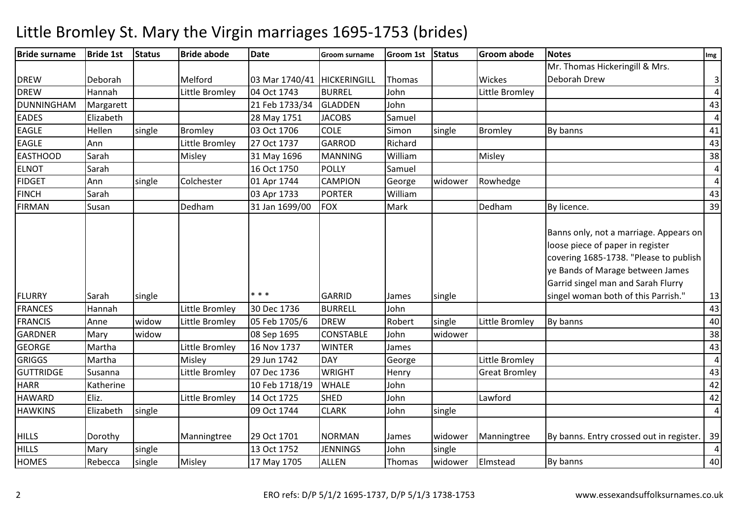| <b>Bride surname</b> | <b>Bride 1st</b> | <b>Status</b> | <b>Bride abode</b> | <b>Date</b>                 | <b>Groom surname</b> | Groom 1st Status |         | <b>Groom abode</b>   | <b>Notes</b>                                                                                                                                                                                                                          | Img            |
|----------------------|------------------|---------------|--------------------|-----------------------------|----------------------|------------------|---------|----------------------|---------------------------------------------------------------------------------------------------------------------------------------------------------------------------------------------------------------------------------------|----------------|
|                      |                  |               |                    |                             |                      |                  |         |                      | Mr. Thomas Hickeringill & Mrs.                                                                                                                                                                                                        |                |
| <b>DREW</b>          | Deborah          |               | Melford            | 03 Mar 1740/41 HICKERINGILL |                      | Thomas           |         | Wickes               | Deborah Drew                                                                                                                                                                                                                          | $\mathsf{3}$   |
| <b>DREW</b>          | Hannah           |               | Little Bromley     | 04 Oct 1743                 | <b>BURREL</b>        | John             |         | Little Bromley       |                                                                                                                                                                                                                                       | $\overline{4}$ |
| <b>DUNNINGHAM</b>    | Margarett        |               |                    | 21 Feb 1733/34              | <b>GLADDEN</b>       | John             |         |                      |                                                                                                                                                                                                                                       | 43             |
| <b>EADES</b>         | Elizabeth        |               |                    | 28 May 1751                 | <b>JACOBS</b>        | Samuel           |         |                      |                                                                                                                                                                                                                                       | $\overline{4}$ |
| <b>EAGLE</b>         | Hellen           | single        | <b>Bromley</b>     | 03 Oct 1706                 | <b>COLE</b>          | Simon            | single  | <b>Bromley</b>       | By banns                                                                                                                                                                                                                              | 41             |
| <b>EAGLE</b>         | Ann              |               | Little Bromley     | 27 Oct 1737                 | <b>GARROD</b>        | Richard          |         |                      |                                                                                                                                                                                                                                       | 43             |
| <b>EASTHOOD</b>      | Sarah            |               | Misley             | 31 May 1696                 | <b>MANNING</b>       | William          |         | Misley               |                                                                                                                                                                                                                                       | 38             |
| <b>ELNOT</b>         | Sarah            |               |                    | 16 Oct 1750                 | <b>POLLY</b>         | Samuel           |         |                      |                                                                                                                                                                                                                                       | $\overline{a}$ |
| <b>FIDGET</b>        | Ann              | single        | Colchester         | 01 Apr 1744                 | <b>CAMPION</b>       | George           | widower | Rowhedge             |                                                                                                                                                                                                                                       | $\overline{4}$ |
| <b>FINCH</b>         | Sarah            |               |                    | 03 Apr 1733                 | <b>PORTER</b>        | William          |         |                      |                                                                                                                                                                                                                                       | 43             |
| <b>FIRMAN</b>        | Susan            |               | Dedham             | 31 Jan 1699/00              | <b>FOX</b>           | Mark             |         | Dedham               | By licence.                                                                                                                                                                                                                           | 39             |
| <b>FLURRY</b>        | Sarah            | single        |                    | * * *                       | <b>GARRID</b>        | James            | single  |                      | Banns only, not a marriage. Appears on<br>loose piece of paper in register<br>covering 1685-1738. "Please to publish<br>ye Bands of Marage between James<br>Garrid singel man and Sarah Flurry<br>singel woman both of this Parrish." | 13             |
| <b>FRANCES</b>       | Hannah           |               | Little Bromley     | 30 Dec 1736                 | <b>BURRELL</b>       | John             |         |                      |                                                                                                                                                                                                                                       | 43             |
| <b>FRANCIS</b>       | Anne             | widow         | Little Bromley     | 05 Feb 1705/6               | <b>DREW</b>          | Robert           | single  | Little Bromley       | By banns                                                                                                                                                                                                                              | 40             |
| <b>GARDNER</b>       | Mary             | widow         |                    | 08 Sep 1695                 | <b>CONSTABLE</b>     | John             | widower |                      |                                                                                                                                                                                                                                       | 38             |
| <b>GEORGE</b>        | Martha           |               | Little Bromley     | 16 Nov 1737                 | <b>WINTER</b>        | James            |         |                      |                                                                                                                                                                                                                                       | 43             |
| <b>GRIGGS</b>        | Martha           |               | Misley             | 29 Jun 1742                 | <b>DAY</b>           | George           |         | Little Bromley       |                                                                                                                                                                                                                                       | $\overline{4}$ |
| <b>GUTTRIDGE</b>     | Susanna          |               | Little Bromley     | 07 Dec 1736                 | <b>WRIGHT</b>        | Henry            |         | <b>Great Bromley</b> |                                                                                                                                                                                                                                       | 43             |
| <b>HARR</b>          | Katherine        |               |                    | 10 Feb 1718/19              | <b>WHALE</b>         | John             |         |                      |                                                                                                                                                                                                                                       | 42             |
| <b>HAWARD</b>        | Eliz.            |               | Little Bromley     | 14 Oct 1725                 | <b>SHED</b>          | John             |         | Lawford              |                                                                                                                                                                                                                                       | 42             |
| <b>HAWKINS</b>       | Elizabeth        | single        |                    | 09 Oct 1744                 | <b>CLARK</b>         | John             | single  |                      |                                                                                                                                                                                                                                       | $\overline{4}$ |
| <b>HILLS</b>         | Dorothy          |               | Manningtree        | 29 Oct 1701                 | <b>NORMAN</b>        | James            | widower | Manningtree          | By banns. Entry crossed out in register.                                                                                                                                                                                              | 39             |
| <b>HILLS</b>         | Mary             | single        |                    | 13 Oct 1752                 | <b>JENNINGS</b>      | John             | single  |                      |                                                                                                                                                                                                                                       | $\overline{4}$ |
| <b>HOMES</b>         | Rebecca          | single        | Misley             | 17 May 1705                 | <b>ALLEN</b>         | Thomas           | widower | Elmstead             | By banns                                                                                                                                                                                                                              | 40             |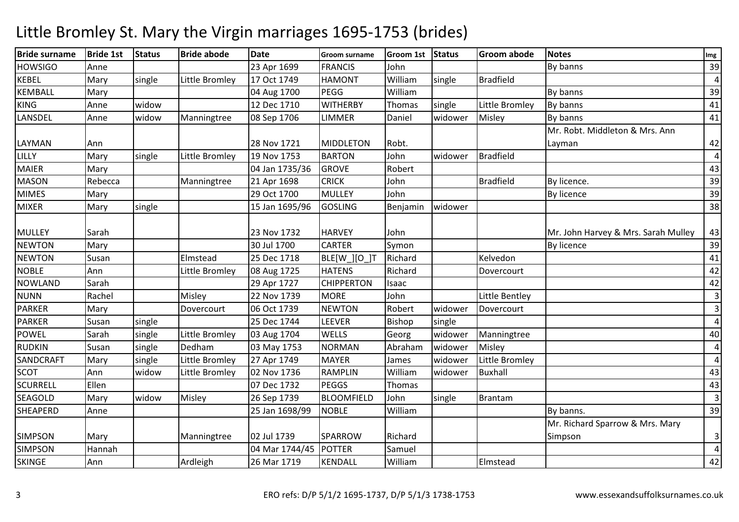| <b>Bride surname</b> | <b>Bride 1st</b> | <b>Status</b> | <b>Bride abode</b> | <b>Date</b>    | <b>Groom surname</b> | Groom 1st Status |         | <b>Groom abode</b> | <b>Notes</b>                        | Img                     |
|----------------------|------------------|---------------|--------------------|----------------|----------------------|------------------|---------|--------------------|-------------------------------------|-------------------------|
| <b>HOWSIGO</b>       | Anne             |               |                    | 23 Apr 1699    | <b>FRANCIS</b>       | John             |         |                    | By banns                            | 39                      |
| <b>KEBEL</b>         | Mary             | single        | Little Bromley     | 17 Oct 1749    | <b>HAMONT</b>        | William          | single  | <b>Bradfield</b>   |                                     | 4                       |
| <b>KEMBALL</b>       | Mary             |               |                    | 04 Aug 1700    | <b>PEGG</b>          | William          |         |                    | By banns                            | 39                      |
| <b>KING</b>          | Anne             | widow         |                    | 12 Dec 1710    | <b>WITHERBY</b>      | Thomas           | single  | Little Bromley     | By banns                            | 41                      |
| LANSDEL              | Anne             | widow         | Manningtree        | 08 Sep 1706    | LIMMER               | Daniel           | widower | Misley             | By banns                            | 41                      |
|                      |                  |               |                    |                |                      |                  |         |                    | Mr. Robt. Middleton & Mrs. Ann      |                         |
| LAYMAN               | Ann              |               |                    | 28 Nov 1721    | <b>MIDDLETON</b>     | Robt.            |         |                    | Layman                              | 42                      |
| LILLY                | Mary             | single        | Little Bromley     | 19 Nov 1753    | <b>BARTON</b>        | John             | widower | <b>Bradfield</b>   |                                     | 4                       |
| <b>MAIER</b>         | Mary             |               |                    | 04 Jan 1735/36 | <b>GROVE</b>         | Robert           |         |                    |                                     | 43                      |
| <b>MASON</b>         | Rebecca          |               | Manningtree        | 21 Apr 1698    | <b>CRICK</b>         | John             |         | <b>Bradfield</b>   | By licence.                         | 39                      |
| <b>MIMES</b>         | Mary             |               |                    | 29 Oct 1700    | <b>MULLEY</b>        | John             |         |                    | By licence                          | 39                      |
| <b>MIXER</b>         | Mary             | single        |                    | 15 Jan 1695/96 | <b>GOSLING</b>       | Benjamin         | widower |                    |                                     | 38                      |
|                      |                  |               |                    |                |                      |                  |         |                    |                                     |                         |
| <b>MULLEY</b>        | Sarah            |               |                    | 23 Nov 1732    | <b>HARVEY</b>        | John             |         |                    | Mr. John Harvey & Mrs. Sarah Mulley | 43                      |
| <b>NEWTON</b>        | Mary             |               |                    | 30 Jul 1700    | <b>CARTER</b>        | Symon            |         |                    | <b>By licence</b>                   | 39                      |
| <b>NEWTON</b>        | Susan            |               | Elmstead           | 25 Dec 1718    | BLE[W_][O_]T         | Richard          |         | Kelvedon           |                                     | 41                      |
| <b>NOBLE</b>         | Ann              |               | Little Bromley     | 08 Aug 1725    | <b>HATENS</b>        | Richard          |         | Dovercourt         |                                     | 42                      |
| <b>NOWLAND</b>       | Sarah            |               |                    | 29 Apr 1727    | <b>CHIPPERTON</b>    | Isaac            |         |                    |                                     | 42                      |
| <b>NUNN</b>          | Rachel           |               | Misley             | 22 Nov 1739    | <b>MORE</b>          | John             |         | Little Bentley     |                                     | 3                       |
| <b>PARKER</b>        | Mary             |               | Dovercourt         | 06 Oct 1739    | <b>NEWTON</b>        | Robert           | widower | Dovercourt         |                                     | 3                       |
| <b>PARKER</b>        | Susan            | single        |                    | 25 Dec 1744    | LEEVER               | Bishop           | single  |                    |                                     | 4                       |
| <b>POWEL</b>         | Sarah            | single        | Little Bromley     | 03 Aug 1704    | <b>WELLS</b>         | Georg            | widower | Manningtree        |                                     | 40                      |
| <b>RUDKIN</b>        | Susan            | single        | Dedham             | 03 May 1753    | <b>NORMAN</b>        | Abraham          | widower | Misley             |                                     | 4                       |
| <b>SANDCRAFT</b>     | Mary             | single        | Little Bromley     | 27 Apr 1749    | <b>MAYER</b>         | James            | widower | Little Bromley     |                                     | $\overline{\mathbf{4}}$ |
| <b>SCOT</b>          | Ann              | widow         | Little Bromley     | 02 Nov 1736    | <b>RAMPLIN</b>       | William          | widower | <b>Buxhall</b>     |                                     | 43                      |
| <b>SCURRELL</b>      | Ellen            |               |                    | 07 Dec 1732    | <b>PEGGS</b>         | Thomas           |         |                    |                                     | 43                      |
| <b>SEAGOLD</b>       | Mary             | widow         | Misley             | 26 Sep 1739    | <b>BLOOMFIELD</b>    | John             | single  | Brantam            |                                     | 3                       |
| <b>SHEAPERD</b>      | Anne             |               |                    | 25 Jan 1698/99 | <b>NOBLE</b>         | William          |         |                    | By banns.                           | 39                      |
|                      |                  |               |                    |                |                      |                  |         |                    | Mr. Richard Sparrow & Mrs. Mary     |                         |
| <b>SIMPSON</b>       | Mary             |               | Manningtree        | 02 Jul 1739    | SPARROW              | Richard          |         |                    | Simpson                             | 3                       |
| <b>SIMPSON</b>       | Hannah           |               |                    | 04 Mar 1744/45 | <b>POTTER</b>        | Samuel           |         |                    |                                     | $\overline{4}$          |
| <b>SKINGE</b>        | Ann              |               | Ardleigh           | 26 Mar 1719    | <b>KENDALL</b>       | William          |         | Elmstead           |                                     | 42                      |